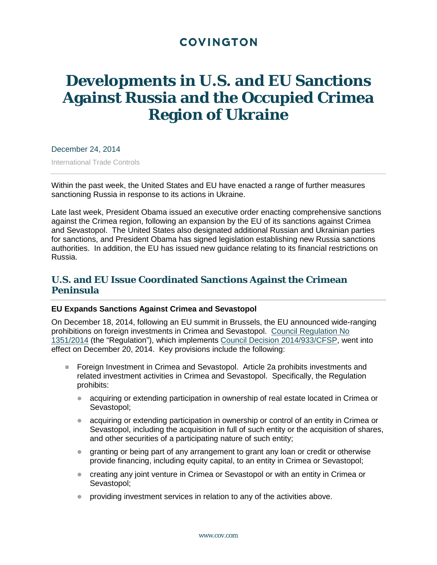# **COVINGTON**

# **Developments in U.S. and EU Sanctions Against Russia and the Occupied Crimea Region of Ukraine**

December 24, 2014

International Trade Controls

Within the past week, the United States and EU have enacted a range of further measures sanctioning Russia in response to its actions in Ukraine.

Late last week, President Obama issued an executive order enacting comprehensive sanctions against the Crimea region, following an expansion by the EU of its sanctions against Crimea and Sevastopol. The United States also designated additional Russian and Ukrainian parties for sanctions, and President Obama has signed legislation establishing new Russia sanctions authorities. In addition, the EU has issued new guidance relating to its financial restrictions on Russia.

# **U.S. and EU Issue Coordinated Sanctions Against the Crimean Peninsula**

#### **EU Expands Sanctions Against Crimea and Sevastopol**

On December 18, 2014, following an EU summit in Brussels, the EU announced wide-ranging prohibitions on foreign investments in Crimea and Sevastopol. [Council Regulation No](http://eur-lex.europa.eu/legal-content/EN/TXT/PDF/?uri=OJ:JOL_2014_365_R_0006&from=EN)  [1351/2014](http://eur-lex.europa.eu/legal-content/EN/TXT/PDF/?uri=OJ:JOL_2014_365_R_0006&from=EN) (the "Regulation"), which implements [Council Decision 2014/933/CFSP,](http://eur-lex.europa.eu/legal-content/EN/TXT/PDF/?uri=OJ:JOL_2014_365_R_0024&from=EN) went into effect on December 20, 2014. Key provisions include the following:

- **Foreign Investment in Crimea and Sevastopol. Article 2a prohibits investments and** related investment activities in Crimea and Sevastopol. Specifically, the Regulation prohibits:
	- acquiring or extending participation in ownership of real estate located in Crimea or Sevastopol;
	- acquiring or extending participation in ownership or control of an entity in Crimea or Sevastopol, including the acquisition in full of such entity or the acquisition of shares, and other securities of a participating nature of such entity;
	- granting or being part of any arrangement to grant any loan or credit or otherwise provide financing, including equity capital, to an entity in Crimea or Sevastopol;
	- creating any joint venture in Crimea or Sevastopol or with an entity in Crimea or Sevastopol;
	- **•** providing investment services in relation to any of the activities above.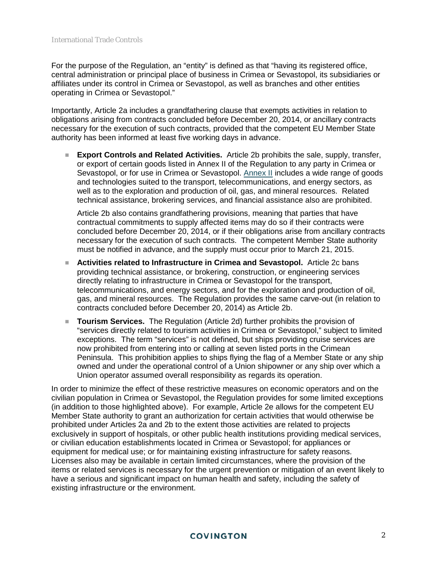For the purpose of the Regulation, an "entity" is defined as that "having its registered office, central administration or principal place of business in Crimea or Sevastopol, its subsidiaries or affiliates under its control in Crimea or Sevastopol, as well as branches and other entities operating in Crimea or Sevastopol."

Importantly, Article 2a includes a grandfathering clause that exempts activities in relation to obligations arising from contracts concluded before December 20, 2014, or ancillary contracts necessary for the execution of such contracts, provided that the competent EU Member State authority has been informed at least five working days in advance.

 **Export Controls and Related Activities.** Article 2b prohibits the sale, supply, transfer, or export of certain goods listed in Annex II of the Regulation to any party in Crimea or Sevastopol, or for use in Crimea or Sevastopol. [Annex II](http://eur-lex.europa.eu/legal-content/EN/TXT/PDF/?uri=OJ:JOL_2014_365_R_0006&from=EN) includes a wide range of goods and technologies suited to the transport, telecommunications, and energy sectors, as well as to the exploration and production of oil, gas, and mineral resources. Related technical assistance, brokering services, and financial assistance also are prohibited.

Article 2b also contains grandfathering provisions, meaning that parties that have contractual commitments to supply affected items may do so if their contracts were concluded before December 20, 2014, or if their obligations arise from ancillary contracts necessary for the execution of such contracts. The competent Member State authority must be notified in advance, and the supply must occur prior to March 21, 2015.

- **Activities related to Infrastructure in Crimea and Sevastopol.** Article 2c bans providing technical assistance, or brokering, construction, or engineering services directly relating to infrastructure in Crimea or Sevastopol for the transport, telecommunications, and energy sectors, and for the exploration and production of oil, gas, and mineral resources. The Regulation provides the same carve-out (in relation to contracts concluded before December 20, 2014) as Article 2b.
- **Tourism Services.** The Regulation (Article 2d) further prohibits the provision of "services directly related to tourism activities in Crimea or Sevastopol," subject to limited exceptions. The term "services" is not defined, but ships providing cruise services are now prohibited from entering into or calling at seven listed ports in the Crimean Peninsula. This prohibition applies to ships flying the flag of a Member State or any ship owned and under the operational control of a Union shipowner or any ship over which a Union operator assumed overall responsibility as regards its operation.

In order to minimize the effect of these restrictive measures on economic operators and on the civilian population in Crimea or Sevastopol, the Regulation provides for some limited exceptions (in addition to those highlighted above). For example, Article 2e allows for the competent EU Member State authority to grant an authorization for certain activities that would otherwise be prohibited under Articles 2a and 2b to the extent those activities are related to projects exclusively in support of hospitals, or other public health institutions providing medical services, or civilian education establishments located in Crimea or Sevastopol; for appliances or equipment for medical use; or for maintaining existing infrastructure for safety reasons. Licenses also may be available in certain limited circumstances, where the provision of the items or related services is necessary for the urgent prevention or mitigation of an event likely to have a serious and significant impact on human health and safety, including the safety of existing infrastructure or the environment.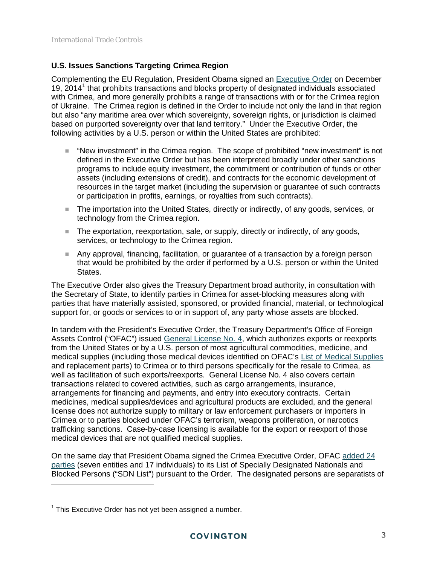# **U.S. Issues Sanctions Targeting Crimea Region**

Complementing the EU Regulation, President Obama signed an [Executive Order](http://www.treasury.gov/resource-center/sanctions/Programs/Documents/ukraine_eo4.pdf) on December [1](#page-2-0)9, 2014<sup>1</sup> that prohibits transactions and blocks property of designated individuals associated with Crimea, and more generally prohibits a range of transactions with or for the Crimea region of Ukraine. The Crimea region is defined in the Order to include not only the land in that region but also "any maritime area over which sovereignty, sovereign rights, or jurisdiction is claimed based on purported sovereignty over that land territory." Under the Executive Order, the following activities by a U.S. person or within the United States are prohibited:

- "New investment" in the Crimea region. The scope of prohibited "new investment" is not defined in the Executive Order but has been interpreted broadly under other sanctions programs to include equity investment, the commitment or contribution of funds or other assets (including extensions of credit), and contracts for the economic development of resources in the target market (including the supervision or guarantee of such contracts or participation in profits, earnings, or royalties from such contracts).
- The importation into the United States, directly or indirectly, of any goods, services, or technology from the Crimea region.
- The exportation, reexportation, sale, or supply, directly or indirectly, of any goods, services, or technology to the Crimea region.
- Any approval, financing, facilitation, or guarantee of a transaction by a foreign person that would be prohibited by the order if performed by a U.S. person or within the United States.

The Executive Order also gives the Treasury Department broad authority, in consultation with the Secretary of State, to identify parties in Crimea for asset-blocking measures along with parties that have materially assisted, sponsored, or provided financial, material, or technological support for, or goods or services to or in support of, any party whose assets are blocked.

In tandem with the President's Executive Order, the Treasury Department's Office of Foreign Assets Control ("OFAC") issued [General License No. 4,](http://www.treasury.gov/resource-center/sanctions/Programs/Documents/ukraine_gl4.pdf) which authorizes exports or reexports from the United States or by a U.S. person of most agricultural commodities, medicine, and medical supplies (including those medical devices identified on OFAC's [List of Medical Supplies](http://www.treasury.gov/resource-center/sanctions/Programs/Documents/med_supplies_12232014.pdf) and replacement parts) to Crimea or to third persons specifically for the resale to Crimea, as well as facilitation of such exports/reexports. General License No. 4 also covers certain transactions related to covered activities, such as cargo arrangements, insurance, arrangements for financing and payments, and entry into executory contracts. Certain medicines, medical supplies/devices and agricultural products are excluded, and the general license does not authorize supply to military or law enforcement purchasers or importers in Crimea or to parties blocked under OFAC's terrorism, weapons proliferation, or narcotics trafficking sanctions. Case-by-case licensing is available for the export or reexport of those medical devices that are not qualified medical supplies.

On the same day that President Obama signed the Crimea Executive Order, OFAC [added 24](http://www.treasury.gov/resource-center/sanctions/OFAC-Enforcement/Pages/20141219.aspx)  [parties](http://www.treasury.gov/resource-center/sanctions/OFAC-Enforcement/Pages/20141219.aspx) (seven entities and 17 individuals) to its List of Specially Designated Nationals and Blocked Persons ("SDN List") pursuant to the Order. The designated persons are separatists of

 $\ddot{ }$ 

<span id="page-2-0"></span> $1$  This Executive Order has not yet been assigned a number.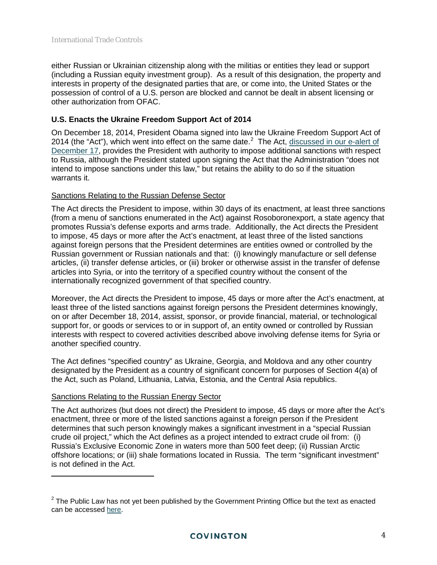either Russian or Ukrainian citizenship along with the militias or entities they lead or support (including a Russian equity investment group). As a result of this designation, the property and interests in property of the designated parties that are, or come into, the United States or the possession of control of a U.S. person are blocked and cannot be dealt in absent licensing or other authorization from OFAC.

# **U.S. Enacts the Ukraine Freedom Support Act of 2014**

On December 18, 2014, President Obama signed into law the Ukraine Freedom Support Act of [2](#page-3-0)014 (the "Act"), which went into effect on the same date.<sup>2</sup> The Act, discussed in our e-alert of [December 17,](http://www.cov.com/files/Publication/fd6e01d5-6e81-4142-b14f-f118f8dbef25/Presentation/PublicationAttachment/bb37296d-4c05-4920-8a1b-f1280534d120/EU_Updates_Existing_Sanctions_Against_Russia_US_Issues_Guidance_and_Moves_to_Impose_Additional_Sanctions.pdf) provides the President with authority to impose additional sanctions with respect to Russia, although the President stated upon signing the Act that the Administration "does not intend to impose sanctions under this law," but retains the ability to do so if the situation warrants it.

#### Sanctions Relating to the Russian Defense Sector

The Act directs the President to impose, within 30 days of its enactment, at least three sanctions (from a menu of sanctions enumerated in the Act) against Rosoboronexport, a state agency that promotes Russia's defense exports and arms trade. Additionally, the Act directs the President to impose, 45 days or more after the Act's enactment, at least three of the listed sanctions against foreign persons that the President determines are entities owned or controlled by the Russian government or Russian nationals and that: (i) knowingly manufacture or sell defense articles, (ii) transfer defense articles, or (iii) broker or otherwise assist in the transfer of defense articles into Syria, or into the territory of a specified country without the consent of the internationally recognized government of that specified country.

Moreover, the Act directs the President to impose, 45 days or more after the Act's enactment, at least three of the listed sanctions against foreign persons the President determines knowingly, on or after December 18, 2014, assist, sponsor, or provide financial, material, or technological support for, or goods or services to or in support of, an entity owned or controlled by Russian interests with respect to covered activities described above involving defense items for Syria or another specified country.

The Act defines "specified country" as Ukraine, Georgia, and Moldova and any other country designated by the President as a country of significant concern for purposes of Section 4(a) of the Act, such as Poland, Lithuania, Latvia, Estonia, and the Central Asia republics.

# Sanctions Relating to the Russian Energy Sector

 $\overline{a}$ 

The Act authorizes (but does not direct) the President to impose, 45 days or more after the Act's enactment, three or more of the listed sanctions against a foreign person if the President determines that such person knowingly makes a significant investment in a "special Russian crude oil project," which the Act defines as a project intended to extract crude oil from: (i) Russia's Exclusive Economic Zone in waters more than 500 feet deep; (ii) Russian Arctic offshore locations; or (iii) shale formations located in Russia. The term "significant investment" is not defined in the Act.

<span id="page-3-0"></span> $2$  The Public Law has not yet been published by the Government Printing Office but the text as enacted can be accessed [here.](https://www.congress.gov/113/bills/hr5859/BILLS-113hr5859enr.pdf)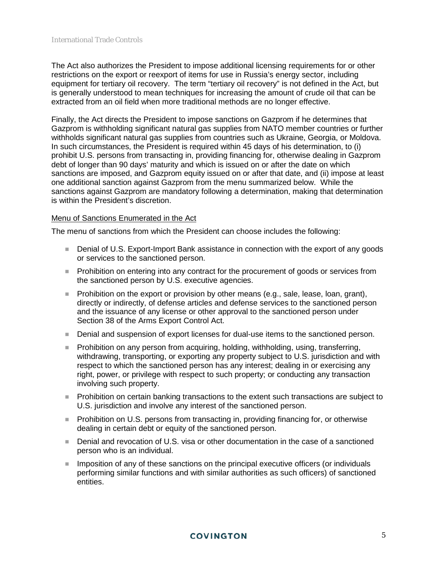The Act also authorizes the President to impose additional licensing requirements for or other restrictions on the export or reexport of items for use in Russia's energy sector, including equipment for tertiary oil recovery. The term "tertiary oil recovery" is not defined in the Act, but is generally understood to mean techniques for increasing the amount of crude oil that can be extracted from an oil field when more traditional methods are no longer effective.

Finally, the Act directs the President to impose sanctions on Gazprom if he determines that Gazprom is withholding significant natural gas supplies from NATO member countries or further withholds significant natural gas supplies from countries such as Ukraine, Georgia, or Moldova. In such circumstances, the President is required within 45 days of his determination, to (i) prohibit U.S. persons from transacting in, providing financing for, otherwise dealing in Gazprom debt of longer than 90 days' maturity and which is issued on or after the date on which sanctions are imposed, and Gazprom equity issued on or after that date, and (ii) impose at least one additional sanction against Gazprom from the menu summarized below. While the sanctions against Gazprom are mandatory following a determination, making that determination is within the President's discretion.

#### Menu of Sanctions Enumerated in the Act

The menu of sanctions from which the President can choose includes the following:

- Denial of U.S. Export-Import Bank assistance in connection with the export of any goods or services to the sanctioned person.
- **Prohibition on entering into any contract for the procurement of goods or services from** the sanctioned person by U.S. executive agencies.
- Prohibition on the export or provision by other means (e.g., sale, lease, loan, grant), directly or indirectly, of defense articles and defense services to the sanctioned person and the issuance of any license or other approval to the sanctioned person under Section 38 of the Arms Export Control Act.
- **Denial and suspension of export licenses for dual-use items to the sanctioned person.**
- Prohibition on any person from acquiring, holding, withholding, using, transferring, withdrawing, transporting, or exporting any property subject to U.S. jurisdiction and with respect to which the sanctioned person has any interest; dealing in or exercising any right, power, or privilege with respect to such property; or conducting any transaction involving such property.
- **Prohibition on certain banking transactions to the extent such transactions are subject to** U.S. jurisdiction and involve any interest of the sanctioned person.
- **Prohibition on U.S. persons from transacting in, providing financing for, or otherwise** dealing in certain debt or equity of the sanctioned person.
- Denial and revocation of U.S. visa or other documentation in the case of a sanctioned person who is an individual.
- **IMPO 1** Imposition of any of these sanctions on the principal executive officers (or individuals performing similar functions and with similar authorities as such officers) of sanctioned entities.

#### **COVINGTON**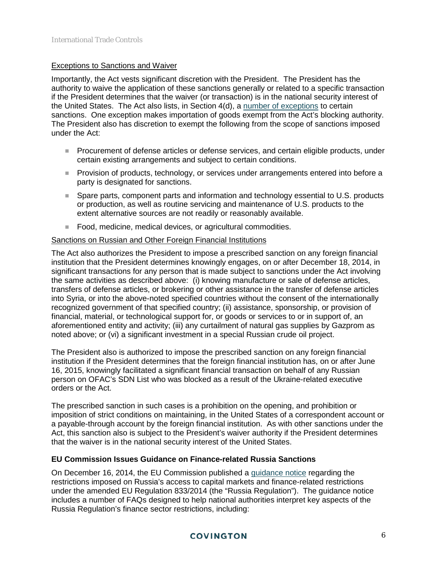#### Exceptions to Sanctions and Waiver

Importantly, the Act vests significant discretion with the President. The President has the authority to waive the application of these sanctions generally or related to a specific transaction if the President determines that the waiver (or transaction) is in the national security interest of the United States. The Act also lists, in Section 4(d), a [number of exceptions](https://www.congress.gov/113/bills/hr5859/BILLS-113hr5859enr.pdf) to certain sanctions. One exception makes importation of goods exempt from the Act's blocking authority. The President also has discretion to exempt the following from the scope of sanctions imposed under the Act:

- **Procurement of defense articles or defense services, and certain eligible products, under** certain existing arrangements and subject to certain conditions.
- **Provision of products, technology, or services under arrangements entered into before a** party is designated for sanctions.
- Spare parts, component parts and information and technology essential to U.S. products or production, as well as routine servicing and maintenance of U.S. products to the extent alternative sources are not readily or reasonably available.
- Food, medicine, medical devices, or agricultural commodities.

#### Sanctions on Russian and Other Foreign Financial Institutions

The Act also authorizes the President to impose a prescribed sanction on any foreign financial institution that the President determines knowingly engages, on or after December 18, 2014, in significant transactions for any person that is made subject to sanctions under the Act involving the same activities as described above: (i) knowing manufacture or sale of defense articles, transfers of defense articles, or brokering or other assistance in the transfer of defense articles into Syria, or into the above-noted specified countries without the consent of the internationally recognized government of that specified country; (ii) assistance, sponsorship, or provision of financial, material, or technological support for, or goods or services to or in support of, an aforementioned entity and activity; (iii) any curtailment of natural gas supplies by Gazprom as noted above; or (vi) a significant investment in a special Russian crude oil project.

The President also is authorized to impose the prescribed sanction on any foreign financial institution if the President determines that the foreign financial institution has, on or after June 16, 2015, knowingly facilitated a significant financial transaction on behalf of any Russian person on OFAC's SDN List who was blocked as a result of the Ukraine-related executive orders or the Act.

The prescribed sanction in such cases is a prohibition on the opening, and prohibition or imposition of strict conditions on maintaining, in the United States of a correspondent account or a payable-through account by the foreign financial institution. As with other sanctions under the Act, this sanction also is subject to the President's waiver authority if the President determines that the waiver is in the national security interest of the United States.

#### **EU Commission Issues Guidance on Finance-related Russia Sanctions**

On December 16, 2014, the EU Commission published a [guidance notice](http://europa.eu/newsroom/files/pdf/c_2014_9950_en.pdf) regarding the restrictions imposed on Russia's access to capital markets and finance-related restrictions under the amended EU Regulation 833/2014 (the "Russia Regulation"). The guidance notice includes a number of FAQs designed to help national authorities interpret key aspects of the Russia Regulation's finance sector restrictions, including:

# **COVINGTON**